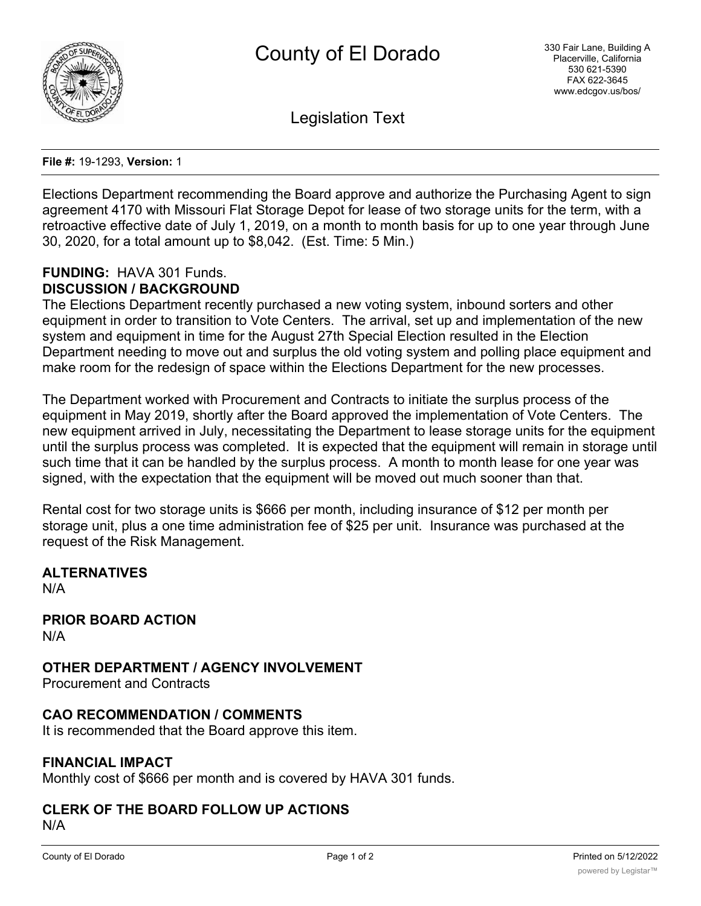

Legislation Text

**File #:** 19-1293, **Version:** 1

Elections Department recommending the Board approve and authorize the Purchasing Agent to sign agreement 4170 with Missouri Flat Storage Depot for lease of two storage units for the term, with a retroactive effective date of July 1, 2019, on a month to month basis for up to one year through June 30, 2020, for a total amount up to \$8,042. (Est. Time: 5 Min.)

### **FUNDING:** HAVA 301 Funds. **DISCUSSION / BACKGROUND**

The Elections Department recently purchased a new voting system, inbound sorters and other equipment in order to transition to Vote Centers. The arrival, set up and implementation of the new system and equipment in time for the August 27th Special Election resulted in the Election Department needing to move out and surplus the old voting system and polling place equipment and make room for the redesign of space within the Elections Department for the new processes.

The Department worked with Procurement and Contracts to initiate the surplus process of the equipment in May 2019, shortly after the Board approved the implementation of Vote Centers. The new equipment arrived in July, necessitating the Department to lease storage units for the equipment until the surplus process was completed. It is expected that the equipment will remain in storage until such time that it can be handled by the surplus process. A month to month lease for one year was signed, with the expectation that the equipment will be moved out much sooner than that.

Rental cost for two storage units is \$666 per month, including insurance of \$12 per month per storage unit, plus a one time administration fee of \$25 per unit. Insurance was purchased at the request of the Risk Management.

# **ALTERNATIVES**

N/A

#### **PRIOR BOARD ACTION** N/A

**OTHER DEPARTMENT / AGENCY INVOLVEMENT**

Procurement and Contracts

# **CAO RECOMMENDATION / COMMENTS**

It is recommended that the Board approve this item.

## **FINANCIAL IMPACT**

Monthly cost of \$666 per month and is covered by HAVA 301 funds.

#### **CLERK OF THE BOARD FOLLOW UP ACTIONS** N/A